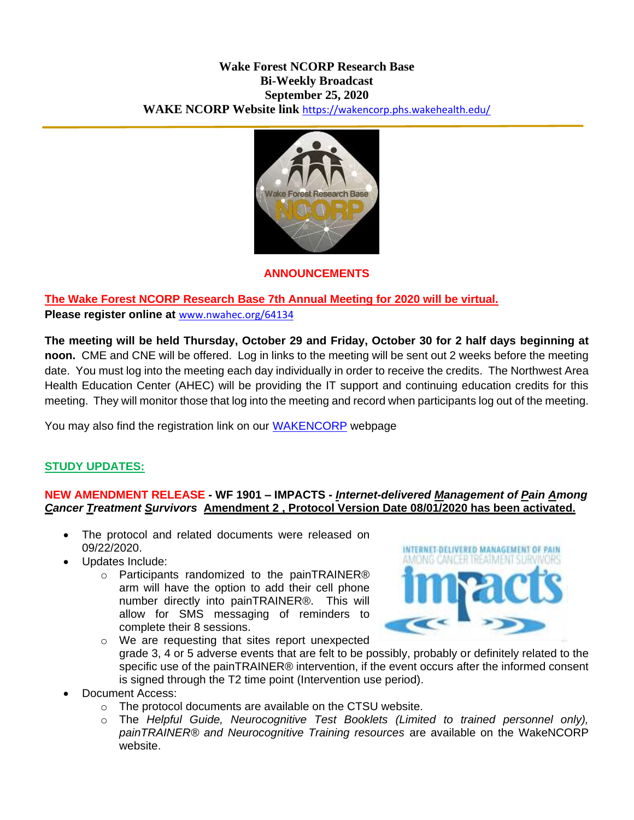#### **Wake Forest NCORP Research Base Bi-Weekly Broadcast September 25, 2020 WAKE NCORP Website link** <https://wakencorp.phs.wakehealth.edu/>



#### **ANNOUNCEMENTS**

# **The Wake Forest NCORP Research Base 7th Annual Meeting for 2020 will be virtual.**

**Please register online at** [www.nwahec.org/64134](http://www.nwahec.org/64134)

**The meeting will be held Thursday, October 29 and Friday, October 30 for 2 half days beginning at noon.** CME and CNE will be offered. Log in links to the meeting will be sent out 2 weeks before the meeting date. You must log into the meeting each day individually in order to receive the credits. The Northwest Area Health Education Center (AHEC) will be providing the IT support and continuing education credits for this meeting. They will monitor those that log into the meeting and record when participants log out of the meeting.

You may also find the registration link on our [WAKENCORP](https://wakencorp.phs.wakehealth.edu/dspLogin.cfm) webpage

## **STUDY UPDATES:**

#### **NEW AMENDMENT RELEASE - WF 1901 – IMPACTS -** *Internet-delivered Management of Pain Among Cancer Treatment Survivors* **Amendment 2 , Protocol Version Date 08/01/2020 has been activated.**

- The protocol and related documents were released on 09/22/2020.
- Updates Include:
	- o Participants randomized to the painTRAINER® arm will have the option to add their cell phone number directly into painTRAINER®. This will allow for SMS messaging of reminders to complete their 8 sessions.



- o We are requesting that sites report unexpected grade 3, 4 or 5 adverse events that are felt to be possibly, probably or definitely related to the specific use of the painTRAINER® intervention, if the event occurs after the informed consent is signed through the T2 time point (Intervention use period).
- Document Access:
	- o The protocol documents are available on the CTSU website.
	- o The *Helpful Guide, Neurocognitive Test Booklets (Limited to trained personnel only), painTRAINER® and Neurocognitive Training resources* are available on the WakeNCORP website.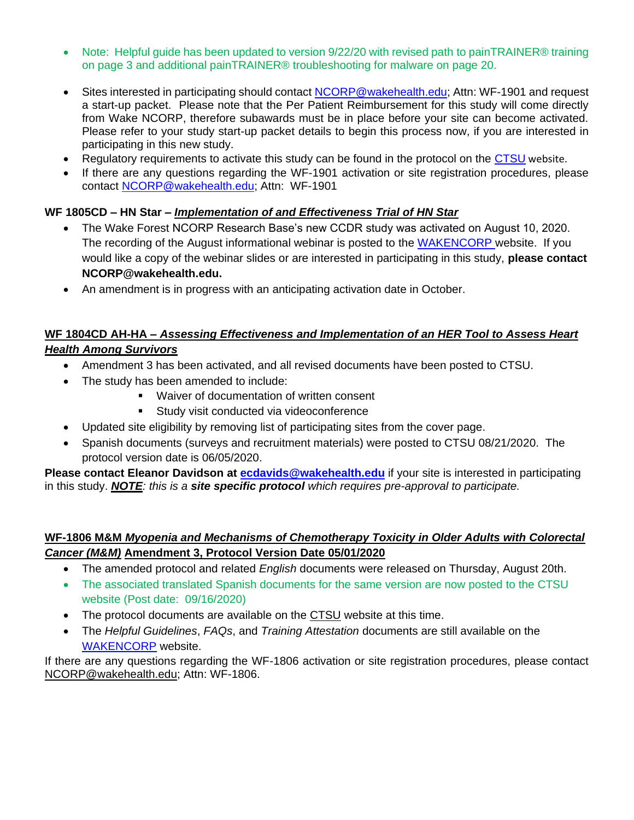- Note: Helpful guide has been updated to version 9/22/20 with revised path to painTRAINER® training on page 3 and additional painTRAINER® troubleshooting for malware on page 20.
- Sites interested in participating should contact NCORP@wakehealth.edu: Attn: WF-1901 and request a start-up packet. Please note that the Per Patient Reimbursement for this study will come directly from Wake NCORP, therefore subawards must be in place before your site can become activated. Please refer to your study start-up packet details to begin this process now, if you are interested in participating in this new study.
- Regulatory requirements to activate this study can be found in the protocol on the [CTSU](https://www.ctsu.org/Public/Default.aspx?ReturnUrl=%2f) website.
- If there are any questions regarding the WF-1901 activation or site registration procedures, please contact [NCORP@wakehealth.edu;](mailto:NCORP@wakehealth.edu) Attn: WF-1901

## **WF 1805CD – HN Star –** *Implementation of and Effectiveness Trial of HN Star*

- The Wake Forest NCORP Research Base's new CCDR study was activated on August 10, 2020. The recording of the August informational webinar is posted to the [WAKENCORP](https://wakencorp.phs.wakehealth.edu/) website. If you would like a copy of the webinar slides or are interested in participating in this study, **please contact NCORP@wakehealth.edu.**
- An amendment is in progress with an anticipating activation date in October.

## **WF 1804CD AH-HA –** *Assessing Effectiveness and Implementation of an HER Tool to Assess Heart Health Among Survivors*

- Amendment 3 has been activated, and all revised documents have been posted to CTSU.
- The study has been amended to include:
	- Waiver of documentation of written consent
	- **Study visit conducted via videoconference**
- Updated site eligibility by removing list of participating sites from the cover page.
- Spanish documents (surveys and recruitment materials) were posted to CTSU 08/21/2020. The protocol version date is 06/05/2020.

**Please contact Eleanor Davidson at [ecdavids@wakehealth.edu](mailto:ecdavids@wakehealth.edu)** if your site is interested in participating in this study. *NOTE: this is a site specific protocol which requires pre-approval to participate.*

## **WF-1806 M&M** *Myopenia and Mechanisms of Chemotherapy Toxicity in Older Adults with Colorectal Cancer (M&M)* **Amendment 3, Protocol Version Date 05/01/2020**

- The amended protocol and related *English* documents were released on Thursday, August 20th.
- The associated translated Spanish documents for the same version are now posted to the CTSU website (Post date: 09/16/2020)
- The protocol documents are available on the [CTSU](https://www.ctsu.org/Public/Default.aspx?ReturnUrl=%2f) website at this time.
- The *Helpful Guidelines*, *FAQs*, and *Training Attestation* documents are still available on the [WAKENCORP](https://wakencorp.phs.wakehealth.edu/) website.

If there are any questions regarding the WF-1806 activation or site registration procedures, please contact [NCORP@wakehealth.edu;](mailto:NCORP@wakehealth.edu) Attn: WF-1806.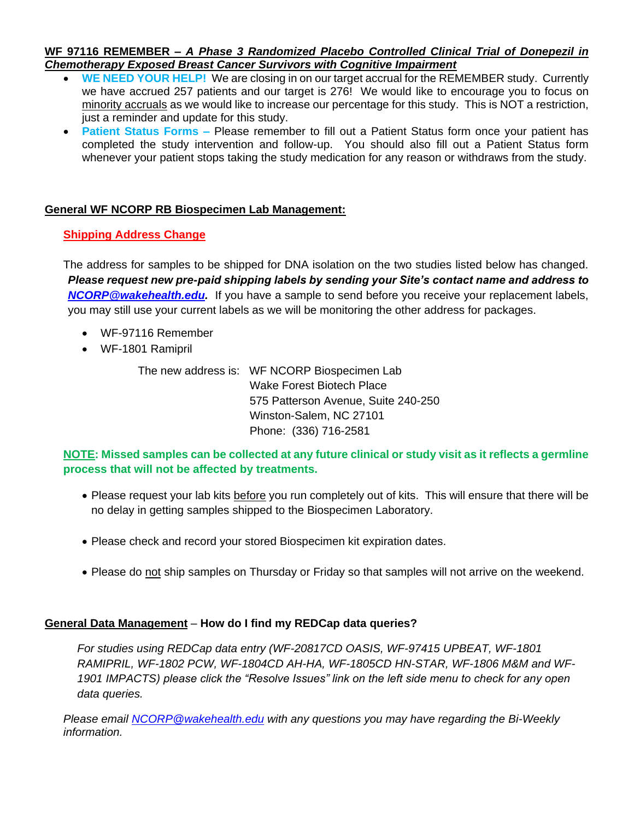#### **WF 97116 REMEMBER –** *A Phase 3 Randomized Placebo Controlled Clinical Trial of Donepezil in Chemotherapy Exposed Breast Cancer Survivors with Cognitive Impairment*

- **WE NEED YOUR HELP!** We are closing in on our target accrual for the REMEMBER study. Currently we have accrued 257 patients and our target is 276! We would like to encourage you to focus on minority accruals as we would like to increase our percentage for this study. This is NOT a restriction, just a reminder and update for this study.
- **Patient Status Forms –** Please remember to fill out a Patient Status form once your patient has completed the study intervention and follow-up. You should also fill out a Patient Status form whenever your patient stops taking the study medication for any reason or withdraws from the study.

## **General WF NCORP RB Biospecimen Lab Management:**

#### **Shipping Address Change**

The address for samples to be shipped for DNA isolation on the two studies listed below has changed. *Please request new pre-paid shipping labels by sending your Site's contact name and address to [NCORP@wakehealth.edu.](mailto:NCORP@wakehealth.edu)* If you have a sample to send before you receive your replacement labels, you may still use your current labels as we will be monitoring the other address for packages.

- WF-97116 Remember
- WF-1801 Ramipril

The new address is: WF NCORP Biospecimen Lab Wake Forest Biotech Place 575 Patterson Avenue, Suite 240-250 Winston-Salem, NC 27101 Phone: (336) 716-2581

## **NOTE: Missed samples can be collected at any future clinical or study visit as it reflects a germline process that will not be affected by treatments.**

- Please request your lab kits before you run completely out of kits. This will ensure that there will be no delay in getting samples shipped to the Biospecimen Laboratory.
- Please check and record your stored Biospecimen kit expiration dates.
- Please do not ship samples on Thursday or Friday so that samples will not arrive on the weekend.

#### **General Data Management** – **How do I find my REDCap data queries?**

*For studies using REDCap data entry (WF-20817CD OASIS, WF-97415 UPBEAT, WF-1801 RAMIPRIL, WF-1802 PCW, WF-1804CD AH-HA, WF-1805CD HN-STAR, WF-1806 M&M and WF-1901 IMPACTS) please click the "Resolve Issues" link on the left side menu to check for any open data queries.*

*Please email [NCORP@wakehealth.edu](mailto:NCORP@wakehealth.edu) with any questions you may have regarding the Bi-Weekly information.*